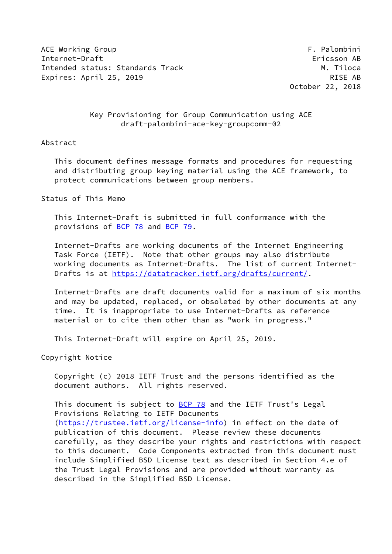ACE Working Group **F. Palombini** Internet-Draft Ericsson AB Intended status: Standards Track M. Tiloca Expires: April 25, 2019 **RISE AB** 

October 22, 2018

## Key Provisioning for Group Communication using ACE draft-palombini-ace-key-groupcomm-02

#### Abstract

 This document defines message formats and procedures for requesting and distributing group keying material using the ACE framework, to protect communications between group members.

## Status of This Memo

 This Internet-Draft is submitted in full conformance with the provisions of [BCP 78](https://datatracker.ietf.org/doc/pdf/bcp78) and [BCP 79](https://datatracker.ietf.org/doc/pdf/bcp79).

 Internet-Drafts are working documents of the Internet Engineering Task Force (IETF). Note that other groups may also distribute working documents as Internet-Drafts. The list of current Internet Drafts is at<https://datatracker.ietf.org/drafts/current/>.

 Internet-Drafts are draft documents valid for a maximum of six months and may be updated, replaced, or obsoleted by other documents at any time. It is inappropriate to use Internet-Drafts as reference material or to cite them other than as "work in progress."

This Internet-Draft will expire on April 25, 2019.

Copyright Notice

 Copyright (c) 2018 IETF Trust and the persons identified as the document authors. All rights reserved.

This document is subject to [BCP 78](https://datatracker.ietf.org/doc/pdf/bcp78) and the IETF Trust's Legal Provisions Relating to IETF Documents [\(https://trustee.ietf.org/license-info](https://trustee.ietf.org/license-info)) in effect on the date of publication of this document. Please review these documents carefully, as they describe your rights and restrictions with respect to this document. Code Components extracted from this document must include Simplified BSD License text as described in Section 4.e of the Trust Legal Provisions and are provided without warranty as described in the Simplified BSD License.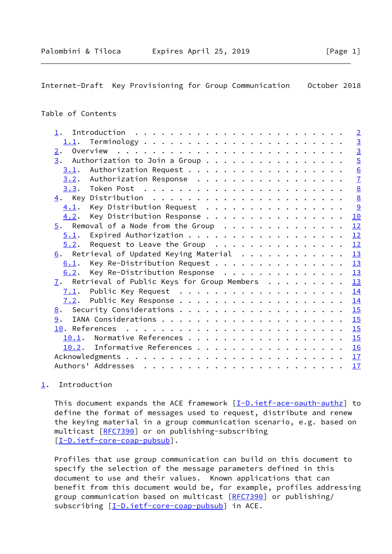## <span id="page-1-1"></span>Table of Contents

| $1$ .                                                       | $\overline{2}$  |
|-------------------------------------------------------------|-----------------|
|                                                             | $\overline{3}$  |
| 2.                                                          | $\overline{3}$  |
| 3.<br>Authorization to Join a Group                         | $\overline{5}$  |
|                                                             | 6               |
| $3.2$ . Authorization Response                              | $\overline{1}$  |
|                                                             | $\underline{8}$ |
|                                                             | $\underline{8}$ |
| Key Distribution Request<br>4.1.                            | 9               |
| Key Distribution Response<br>4.2.                           | <b>10</b>       |
| $5.$ Removal of a Node from the Group                       | 12              |
| 5.1.                                                        | 12              |
| Request to Leave the Group<br>5.2.                          | 12              |
| $6.$ Retrieval of Updated Keying Material                   | 13              |
| Key Re-Distribution Request<br>6.1.                         | 13              |
| Key Re-Distribution Response<br>6.2.                        | 13              |
| $\overline{1}$ . Retrieval of Public Keys for Group Members | 13              |
|                                                             | 14              |
|                                                             | 14              |
|                                                             | 15              |
| 9.                                                          | 15              |
|                                                             | 15              |
| 10.1.                                                       | 15              |
| 10.2. Informative References                                | 16              |
|                                                             | 17              |
|                                                             | 17              |
|                                                             |                 |

# <span id="page-1-0"></span>[1](#page-1-0). Introduction

This document expands the ACE framework  $[\underline{I-D.ietf-ace-oauth-authz}]$  to define the format of messages used to request, distribute and renew the keying material in a group communication scenario, e.g. based on multicast [[RFC7390](https://datatracker.ietf.org/doc/pdf/rfc7390)] or on publishing-subscribing [\[I-D.ietf-core-coap-pubsub](#page-17-2)].

 Profiles that use group communication can build on this document to specify the selection of the message parameters defined in this document to use and their values. Known applications that can benefit from this document would be, for example, profiles addressing group communication based on multicast [\[RFC7390](https://datatracker.ietf.org/doc/pdf/rfc7390)] or publishing/ subscribing [\[I-D.ietf-core-coap-pubsub](#page-17-2)] in ACE.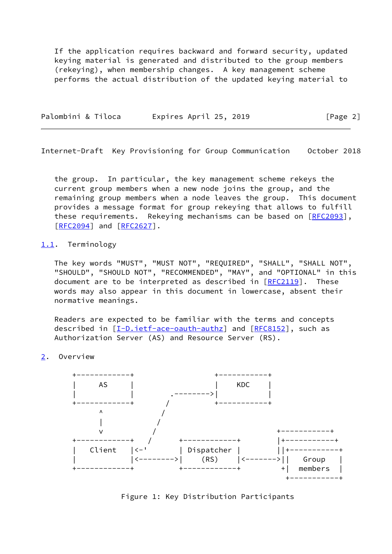If the application requires backward and forward security, updated keying material is generated and distributed to the group members (rekeying), when membership changes. A key management scheme performs the actual distribution of the updated keying material to

| Palombini & Tiloca | Expires April 25, 2019 | [Page 2] |
|--------------------|------------------------|----------|
|                    |                        |          |

<span id="page-2-1"></span>Internet-Draft Key Provisioning for Group Communication October 2018

 the group. In particular, the key management scheme rekeys the current group members when a new node joins the group, and the remaining group members when a node leaves the group. This document provides a message format for group rekeying that allows to fulfill these requirements. Rekeying mechanisms can be based on [\[RFC2093](https://datatracker.ietf.org/doc/pdf/rfc2093)], [\[RFC2094](https://datatracker.ietf.org/doc/pdf/rfc2094)] and [[RFC2627](https://datatracker.ietf.org/doc/pdf/rfc2627)].

## <span id="page-2-0"></span>[1.1](#page-2-0). Terminology

 The key words "MUST", "MUST NOT", "REQUIRED", "SHALL", "SHALL NOT", "SHOULD", "SHOULD NOT", "RECOMMENDED", "MAY", and "OPTIONAL" in this document are to be interpreted as described in [\[RFC2119](https://datatracker.ietf.org/doc/pdf/rfc2119)]. These words may also appear in this document in lowercase, absent their normative meanings.

 Readers are expected to be familiar with the terms and concepts described in [\[I-D.ietf-ace-oauth-authz](#page-16-4)] and [\[RFC8152](https://datatracker.ietf.org/doc/pdf/rfc8152)], such as Authorization Server (AS) and Resource Server (RS).

<span id="page-2-2"></span>[2](#page-2-2). Overview



Figure 1: Key Distribution Participants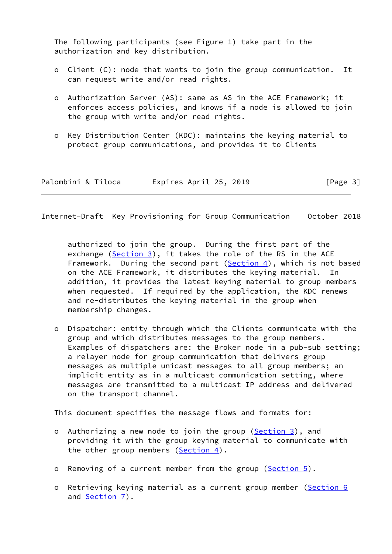The following participants (see Figure 1) take part in the authorization and key distribution.

- o Client (C): node that wants to join the group communication. It can request write and/or read rights.
- o Authorization Server (AS): same as AS in the ACE Framework; it enforces access policies, and knows if a node is allowed to join the group with write and/or read rights.
- o Key Distribution Center (KDC): maintains the keying material to protect group communications, and provides it to Clients

| Palombini & Tiloca | Expires April 25, 2019 | [Page 3] |
|--------------------|------------------------|----------|
|--------------------|------------------------|----------|

Internet-Draft Key Provisioning for Group Communication October 2018

 authorized to join the group. During the first part of the exchange  $(Section 3)$  $(Section 3)$ , it takes the role of the RS in the ACE Framework. During the second part  $(Section 4)$  $(Section 4)$ , which is not based on the ACE Framework, it distributes the keying material. In addition, it provides the latest keying material to group members when requested. If required by the application, the KDC renews and re-distributes the keying material in the group when membership changes.

 o Dispatcher: entity through which the Clients communicate with the group and which distributes messages to the group members. Examples of dispatchers are: the Broker node in a pub-sub setting; a relayer node for group communication that delivers group messages as multiple unicast messages to all group members; an implicit entity as in a multicast communication setting, where messages are transmitted to a multicast IP address and delivered on the transport channel.

This document specifies the message flows and formats for:

- o Authorizing a new node to join the group [\(Section 3](#page-5-0)), and providing it with the group keying material to communicate with the other group members  $(Section 4)$  $(Section 4)$ .
- o Removing of a current member from the group [\(Section 5](#page-12-0)).
- o Retrieving keying material as a current group member [\(Section 6](#page-13-1) and [Section 7\)](#page-14-2).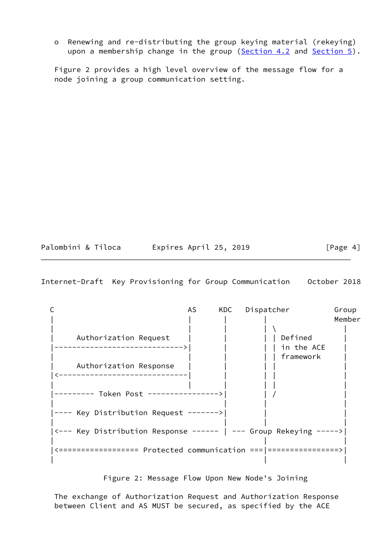o Renewing and re-distributing the group keying material (rekeying) upon a membership change in the group [\(Section 4.2](#page-10-0) and [Section 5\)](#page-12-0).

 Figure 2 provides a high level overview of the message flow for a node joining a group communication setting.

| Palombini & Tiloca | Expires April 25, 2019 | [Page 4] |
|--------------------|------------------------|----------|
|--------------------|------------------------|----------|

<span id="page-4-0"></span>Internet-Draft Key Provisioning for Group Communication October 2018

|                                                                   | AS. | KDC | Dispatcher                         | Group<br>Member |
|-------------------------------------------------------------------|-----|-----|------------------------------------|-----------------|
| Authorization Request                                             |     |     | Defined<br>in the ACE<br>framework |                 |
| Authorization Response                                            |     |     |                                    |                 |
|                                                                   |     |     |                                    |                 |
| ---- Key Distribution Request ------->                            |     |     |                                    |                 |
| <--- Key Distribution Response ------   --- Group Rekeying -----> |     |     |                                    |                 |
|                                                                   |     |     |                                    |                 |

## Figure 2: Message Flow Upon New Node's Joining

 The exchange of Authorization Request and Authorization Response between Client and AS MUST be secured, as specified by the ACE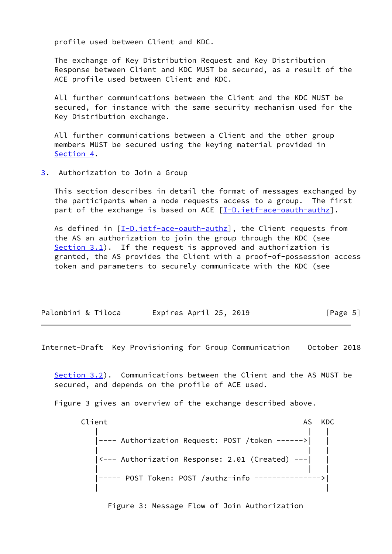profile used between Client and KDC.

 The exchange of Key Distribution Request and Key Distribution Response between Client and KDC MUST be secured, as a result of the ACE profile used between Client and KDC.

 All further communications between the Client and the KDC MUST be secured, for instance with the same security mechanism used for the Key Distribution exchange.

 All further communications between a Client and the other group members MUST be secured using the keying material provided in [Section 4](#page-8-1).

<span id="page-5-0"></span>[3](#page-5-0). Authorization to Join a Group

 This section describes in detail the format of messages exchanged by the participants when a node requests access to a group. The first part of the exchange is based on ACE [\[I-D.ietf-ace-oauth-authz](#page-16-4)].

As defined in [[I-D.ietf-ace-oauth-authz\]](#page-16-4), the Client requests from the AS an authorization to join the group through the KDC (see Section  $3.1$ ). If the request is approved and authorization is granted, the AS provides the Client with a proof-of-possession access token and parameters to securely communicate with the KDC (see

| Palombini & Tiloca | Expires April 25, 2019 | [Page 5] |
|--------------------|------------------------|----------|
|--------------------|------------------------|----------|

<span id="page-5-1"></span>Internet-Draft Key Provisioning for Group Communication October 2018

 [Section 3.2](#page-6-1)). Communications between the Client and the AS MUST be secured, and depends on the profile of ACE used.

Figure 3 gives an overview of the exchange described above.

Client AS KDC | | | |---- Authorization Request: POST /token ------>| | | | | |<--- Authorization Response: 2.01 (Created) ---| | | | | |----- POST Token: POST /authz-info --------------->| | |

Figure 3: Message Flow of Join Authorization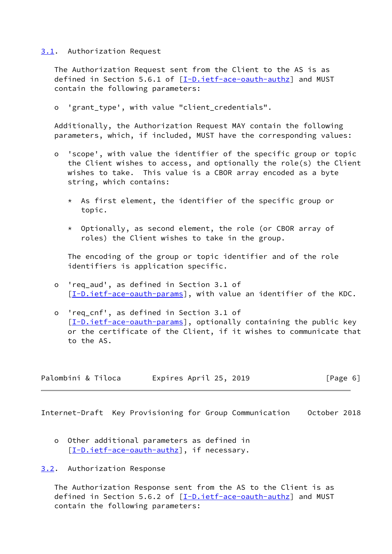#### <span id="page-6-0"></span>[3.1](#page-6-0). Authorization Request

 The Authorization Request sent from the Client to the AS is as defined in Section 5.6.1 of [\[I-D.ietf-ace-oauth-authz](#page-16-4)] and MUST contain the following parameters:

o 'grant\_type', with value "client\_credentials".

 Additionally, the Authorization Request MAY contain the following parameters, which, if included, MUST have the corresponding values:

- o 'scope', with value the identifier of the specific group or topic the Client wishes to access, and optionally the role(s) the Client wishes to take. This value is a CBOR array encoded as a byte string, which contains:
	- \* As first element, the identifier of the specific group or topic.
	- \* Optionally, as second element, the role (or CBOR array of roles) the Client wishes to take in the group.

 The encoding of the group or topic identifier and of the role identifiers is application specific.

- o 'req\_aud', as defined in Section 3.1 of [[I-D.ietf-ace-oauth-params\]](#page-17-3), with value an identifier of the KDC.
- o 'req\_cnf', as defined in Section 3.1 of [[I-D.ietf-ace-oauth-params\]](#page-17-3), optionally containing the public key or the certificate of the Client, if it wishes to communicate that to the AS.

| Palombini & Tiloca | Expires April 25, 2019 | [Page 6] |
|--------------------|------------------------|----------|
|--------------------|------------------------|----------|

<span id="page-6-2"></span>Internet-Draft Key Provisioning for Group Communication October 2018

- o Other additional parameters as defined in [[I-D.ietf-ace-oauth-authz\]](#page-16-4), if necessary.
- <span id="page-6-1"></span>[3.2](#page-6-1). Authorization Response

 The Authorization Response sent from the AS to the Client is as defined in Section 5.6.2 of [\[I-D.ietf-ace-oauth-authz](#page-16-4)] and MUST contain the following parameters: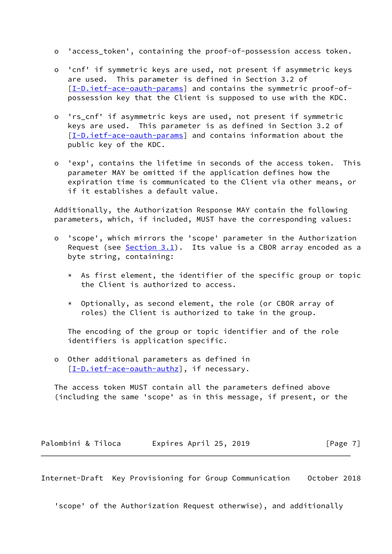- o 'access\_token', containing the proof-of-possession access token.
- o 'cnf' if symmetric keys are used, not present if asymmetric keys are used. This parameter is defined in Section 3.2 of [[I-D.ietf-ace-oauth-params\]](#page-17-3) and contains the symmetric proof-ofpossession key that the Client is supposed to use with the KDC.
- o 'rs\_cnf' if asymmetric keys are used, not present if symmetric keys are used. This parameter is as defined in Section 3.2 of [[I-D.ietf-ace-oauth-params\]](#page-17-3) and contains information about the public key of the KDC.
- o 'exp', contains the lifetime in seconds of the access token. This parameter MAY be omitted if the application defines how the expiration time is communicated to the Client via other means, or if it establishes a default value.

 Additionally, the Authorization Response MAY contain the following parameters, which, if included, MUST have the corresponding values:

- o 'scope', which mirrors the 'scope' parameter in the Authorization Request (see  $Section 3.1$ ). Its value is a CBOR array encoded as a byte string, containing:
	- $*$  As first element, the identifier of the specific group or topic the Client is authorized to access.
	- \* Optionally, as second element, the role (or CBOR array of roles) the Client is authorized to take in the group.

 The encoding of the group or topic identifier and of the role identifiers is application specific.

 o Other additional parameters as defined in [[I-D.ietf-ace-oauth-authz\]](#page-16-4), if necessary.

 The access token MUST contain all the parameters defined above (including the same 'scope' as in this message, if present, or the

Palombini & Tiloca and Expires April 25, 2019 [Page 7]

<span id="page-7-0"></span>Internet-Draft Key Provisioning for Group Communication October 2018

'scope' of the Authorization Request otherwise), and additionally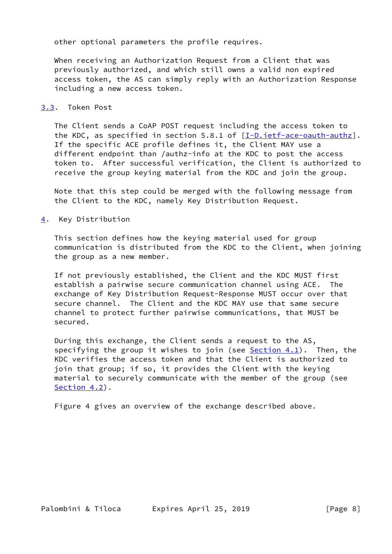other optional parameters the profile requires.

 When receiving an Authorization Request from a Client that was previously authorized, and which still owns a valid non expired access token, the AS can simply reply with an Authorization Response including a new access token.

## <span id="page-8-0"></span>[3.3](#page-8-0). Token Post

 The Client sends a CoAP POST request including the access token to the KDC, as specified in section 5.8.1 of  $[I-D.iettface-aauth-authz]$ . If the specific ACE profile defines it, the Client MAY use a different endpoint than /authz-info at the KDC to post the access token to. After successful verification, the Client is authorized to receive the group keying material from the KDC and join the group.

 Note that this step could be merged with the following message from the Client to the KDC, namely Key Distribution Request.

<span id="page-8-1"></span>[4](#page-8-1). Key Distribution

 This section defines how the keying material used for group communication is distributed from the KDC to the Client, when joining the group as a new member.

 If not previously established, the Client and the KDC MUST first establish a pairwise secure communication channel using ACE. The exchange of Key Distribution Request-Response MUST occur over that secure channel. The Client and the KDC MAY use that same secure channel to protect further pairwise communications, that MUST be secured.

 During this exchange, the Client sends a request to the AS, specifying the group it wishes to join (see  $Section 4.1$ ). Then, the KDC verifies the access token and that the Client is authorized to join that group; if so, it provides the Client with the keying material to securely communicate with the member of the group (see [Section 4.2](#page-10-0)).

Figure 4 gives an overview of the exchange described above.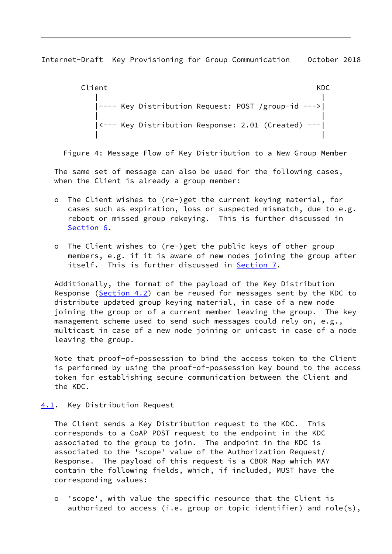<span id="page-9-1"></span>Client **KDC**  | | |---- Key Distribution Request: POST /group-id --->| | | |<--- Key Distribution Response: 2.01 (Created) ---| | |

Figure 4: Message Flow of Key Distribution to a New Group Member

 The same set of message can also be used for the following cases, when the Client is already a group member:

- o The Client wishes to (re-)get the current keying material, for cases such as expiration, loss or suspected mismatch, due to e.g. reboot or missed group rekeying. This is further discussed in [Section 6.](#page-13-1)
- o The Client wishes to (re-)get the public keys of other group members, e.g. if it is aware of new nodes joining the group after itself. This is further discussed in [Section 7](#page-14-2).

 Additionally, the format of the payload of the Key Distribution Response ( $Section 4.2$ ) can be reused for messages sent by the KDC to distribute updated group keying material, in case of a new node joining the group or of a current member leaving the group. The key management scheme used to send such messages could rely on, e.g., multicast in case of a new node joining or unicast in case of a node leaving the group.

 Note that proof-of-possession to bind the access token to the Client is performed by using the proof-of-possession key bound to the access token for establishing secure communication between the Client and the KDC.

<span id="page-9-0"></span>[4.1](#page-9-0). Key Distribution Request

 The Client sends a Key Distribution request to the KDC. This corresponds to a CoAP POST request to the endpoint in the KDC associated to the group to join. The endpoint in the KDC is associated to the 'scope' value of the Authorization Request/ Response. The payload of this request is a CBOR Map which MAY contain the following fields, which, if included, MUST have the corresponding values:

 o 'scope', with value the specific resource that the Client is authorized to access (i.e. group or topic identifier) and role(s),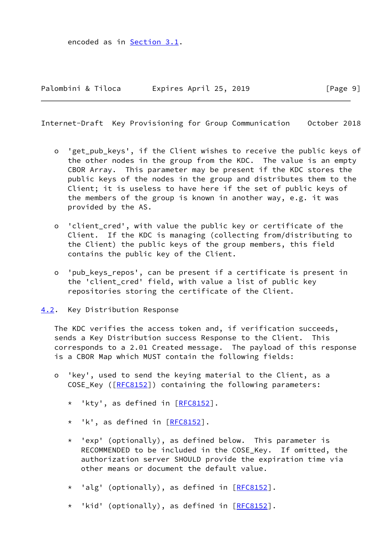encoded as in [Section 3.1](#page-6-0).

<span id="page-10-1"></span>Internet-Draft Key Provisioning for Group Communication October 2018

- o 'get\_pub\_keys', if the Client wishes to receive the public keys of the other nodes in the group from the KDC. The value is an empty CBOR Array. This parameter may be present if the KDC stores the public keys of the nodes in the group and distributes them to the Client; it is useless to have here if the set of public keys of the members of the group is known in another way, e.g. it was provided by the AS.
- o 'client\_cred', with value the public key or certificate of the Client. If the KDC is managing (collecting from/distributing to the Client) the public keys of the group members, this field contains the public key of the Client.
- o 'pub\_keys\_repos', can be present if a certificate is present in the 'client cred' field, with value a list of public key repositories storing the certificate of the Client.
- <span id="page-10-0"></span>[4.2](#page-10-0). Key Distribution Response

 The KDC verifies the access token and, if verification succeeds, sends a Key Distribution success Response to the Client. This corresponds to a 2.01 Created message. The payload of this response is a CBOR Map which MUST contain the following fields:

- o 'key', used to send the keying material to the Client, as a COSE\_Key ([\[RFC8152](https://datatracker.ietf.org/doc/pdf/rfc8152)]) containing the following parameters:
	- \* 'kty', as defined in [[RFC8152\]](https://datatracker.ietf.org/doc/pdf/rfc8152).
	- \* 'k', as defined in [\[RFC8152](https://datatracker.ietf.org/doc/pdf/rfc8152)].
	- \* 'exp' (optionally), as defined below. This parameter is RECOMMENDED to be included in the COSE\_Key. If omitted, the authorization server SHOULD provide the expiration time via other means or document the default value.
	- \* 'alg' (optionally), as defined in [\[RFC8152](https://datatracker.ietf.org/doc/pdf/rfc8152)].
	- \* 'kid' (optionally), as defined in [\[RFC8152](https://datatracker.ietf.org/doc/pdf/rfc8152)].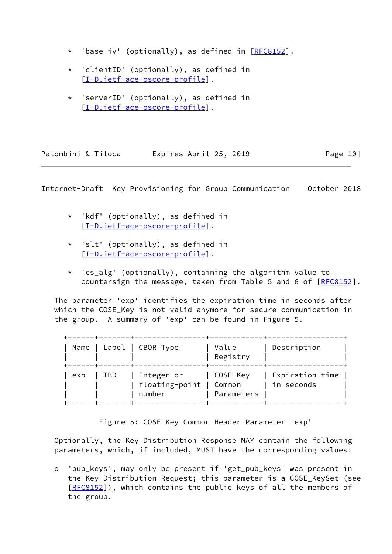- \* 'base iv' (optionally), as defined in [\[RFC8152](https://datatracker.ietf.org/doc/pdf/rfc8152)].
- \* 'clientID' (optionally), as defined in [[I-D.ietf-ace-oscore-profile](#page-17-4)].
- \* 'serverID' (optionally), as defined in [[I-D.ietf-ace-oscore-profile](#page-17-4)].

| Palombini & Tiloca | Expires April 25, 2019 | [Page 10] |
|--------------------|------------------------|-----------|
|--------------------|------------------------|-----------|

- \* 'kdf' (optionally), as defined in [[I-D.ietf-ace-oscore-profile](#page-17-4)].
- \* 'slt' (optionally), as defined in [[I-D.ietf-ace-oscore-profile](#page-17-4)].
- \* 'cs\_alg' (optionally), containing the algorithm value to countersign the message, taken from Table 5 and 6 of [[RFC8152\]](https://datatracker.ietf.org/doc/pdf/rfc8152).

 The parameter 'exp' identifies the expiration time in seconds after which the COSE Key is not valid anymore for secure communication in the group. A summary of 'exp' can be found in Figure 5.

| Name |     | Label   CBOR Type                      | Value<br>Registry                | Description                   |
|------|-----|----------------------------------------|----------------------------------|-------------------------------|
| exp  | TBD | Integer or<br>floating-point<br>number | COSE Key<br>Common<br>Parameters | Expiration time<br>in seconds |

Figure 5: COSE Key Common Header Parameter 'exp'

 Optionally, the Key Distribution Response MAY contain the following parameters, which, if included, MUST have the corresponding values:

 o 'pub\_keys', may only be present if 'get\_pub\_keys' was present in the Key Distribution Request; this parameter is a COSE\_KeySet (see [[RFC8152\]](https://datatracker.ietf.org/doc/pdf/rfc8152)), which contains the public keys of all the members of the group.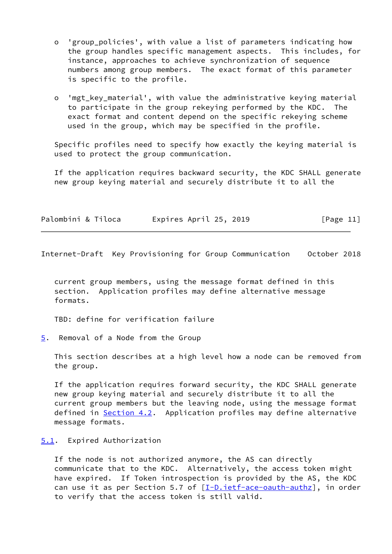- o 'group\_policies', with value a list of parameters indicating how the group handles specific management aspects. This includes, for instance, approaches to achieve synchronization of sequence numbers among group members. The exact format of this parameter is specific to the profile.
- o 'mgt key material', with value the administrative keying material to participate in the group rekeying performed by the KDC. The exact format and content depend on the specific rekeying scheme used in the group, which may be specified in the profile.

 Specific profiles need to specify how exactly the keying material is used to protect the group communication.

 If the application requires backward security, the KDC SHALL generate new group keying material and securely distribute it to all the

| Palombini & Tiloca | Expires April 25, 2019 | [Page 11] |
|--------------------|------------------------|-----------|
|--------------------|------------------------|-----------|

<span id="page-12-1"></span>Internet-Draft Key Provisioning for Group Communication October 2018

 current group members, using the message format defined in this section. Application profiles may define alternative message formats.

TBD: define for verification failure

<span id="page-12-0"></span>[5](#page-12-0). Removal of a Node from the Group

 This section describes at a high level how a node can be removed from the group.

 If the application requires forward security, the KDC SHALL generate new group keying material and securely distribute it to all the current group members but the leaving node, using the message format defined in [Section 4.2](#page-10-0). Application profiles may define alternative message formats.

#### <span id="page-12-2"></span>[5.1](#page-12-2). Expired Authorization

 If the node is not authorized anymore, the AS can directly communicate that to the KDC. Alternatively, the access token might have expired. If Token introspection is provided by the AS, the KDC can use it as per Section 5.7 of  $[I-D.iettface-aauth-authz]$ , in order to verify that the access token is still valid.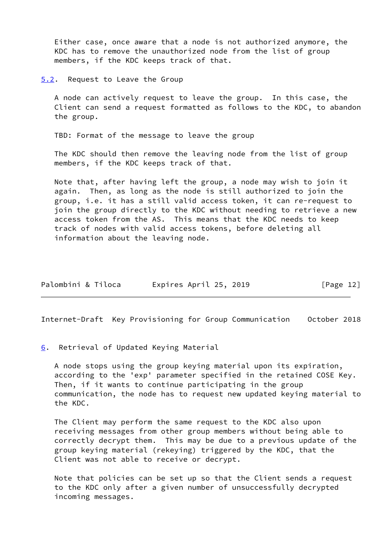Either case, once aware that a node is not authorized anymore, the KDC has to remove the unauthorized node from the list of group members, if the KDC keeps track of that.

<span id="page-13-0"></span>[5.2](#page-13-0). Request to Leave the Group

 A node can actively request to leave the group. In this case, the Client can send a request formatted as follows to the KDC, to abandon the group.

TBD: Format of the message to leave the group

 The KDC should then remove the leaving node from the list of group members, if the KDC keeps track of that.

 Note that, after having left the group, a node may wish to join it again. Then, as long as the node is still authorized to join the group, i.e. it has a still valid access token, it can re-request to join the group directly to the KDC without needing to retrieve a new access token from the AS. This means that the KDC needs to keep track of nodes with valid access tokens, before deleting all information about the leaving node.

| Palombini & Tiloca<br>Expires April 25, 2019 | [Page $12$ ] |
|----------------------------------------------|--------------|
|----------------------------------------------|--------------|

<span id="page-13-2"></span>Internet-Draft Key Provisioning for Group Communication October 2018

<span id="page-13-1"></span>[6](#page-13-1). Retrieval of Updated Keying Material

 A node stops using the group keying material upon its expiration, according to the 'exp' parameter specified in the retained COSE Key. Then, if it wants to continue participating in the group communication, the node has to request new updated keying material to the KDC.

 The Client may perform the same request to the KDC also upon receiving messages from other group members without being able to correctly decrypt them. This may be due to a previous update of the group keying material (rekeying) triggered by the KDC, that the Client was not able to receive or decrypt.

 Note that policies can be set up so that the Client sends a request to the KDC only after a given number of unsuccessfully decrypted incoming messages.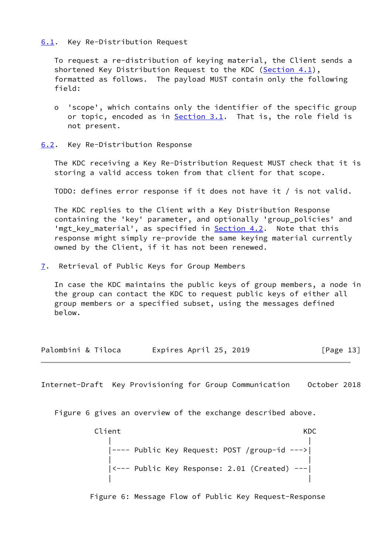#### <span id="page-14-0"></span>[6.1](#page-14-0). Key Re-Distribution Request

 To request a re-distribution of keying material, the Client sends a shortened Key Distribution Request to the KDC ([Section 4.1](#page-9-0)), formatted as follows. The payload MUST contain only the following field:

- o 'scope', which contains only the identifier of the specific group or topic, encoded as in [Section 3.1](#page-6-0). That is, the role field is not present.
- <span id="page-14-1"></span>[6.2](#page-14-1). Key Re-Distribution Response

 The KDC receiving a Key Re-Distribution Request MUST check that it is storing a valid access token from that client for that scope.

TODO: defines error response if it does not have it / is not valid.

 The KDC replies to the Client with a Key Distribution Response containing the 'key' parameter, and optionally 'group\_policies' and 'mgt\_key\_material', as specified in **Section 4.2**. Note that this response might simply re-provide the same keying material currently owned by the Client, if it has not been renewed.

<span id="page-14-2"></span>[7](#page-14-2). Retrieval of Public Keys for Group Members

 In case the KDC maintains the public keys of group members, a node in the group can contact the KDC to request public keys of either all group members or a specified subset, using the messages defined below.

| Palombini & Tiloca | Expires April 25, 2019 | [Page 13] |
|--------------------|------------------------|-----------|
|--------------------|------------------------|-----------|

<span id="page-14-3"></span>Internet-Draft Key Provisioning for Group Communication October 2018

Figure 6 gives an overview of the exchange described above.

 Client KDC | | |---- Public Key Request: POST /group-id --->| | | |<--- Public Key Response: 2.01 (Created) ---| | |

Figure 6: Message Flow of Public Key Request-Response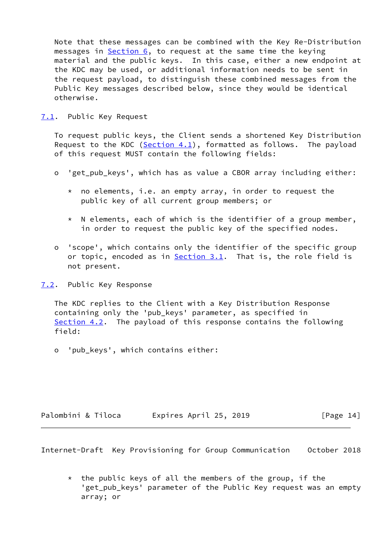Note that these messages can be combined with the Key Re-Distribution messages in  $Section 6$ , to request at the same time the keying material and the public keys. In this case, either a new endpoint at the KDC may be used, or additional information needs to be sent in the request payload, to distinguish these combined messages from the Public Key messages described below, since they would be identical otherwise.

<span id="page-15-0"></span>[7.1](#page-15-0). Public Key Request

 To request public keys, the Client sends a shortened Key Distribution Request to the KDC (Section  $4.1$ ), formatted as follows. The payload of this request MUST contain the following fields:

- o 'get\_pub\_keys', which has as value a CBOR array including either:
	- \* no elements, i.e. an empty array, in order to request the public key of all current group members; or
	- \* N elements, each of which is the identifier of a group member, in order to request the public key of the specified nodes.
- o 'scope', which contains only the identifier of the specific group or topic, encoded as in [Section 3.1](#page-6-0). That is, the role field is not present.
- <span id="page-15-1"></span>[7.2](#page-15-1). Public Key Response

 The KDC replies to the Client with a Key Distribution Response containing only the 'pub\_keys' parameter, as specified in [Section 4.2](#page-10-0). The payload of this response contains the following field:

o 'pub\_keys', which contains either:

| Palombini & Tiloca | Expires April 25, 2019 | [Page 14] |
|--------------------|------------------------|-----------|
|--------------------|------------------------|-----------|

<span id="page-15-2"></span>Internet-Draft Key Provisioning for Group Communication October 2018

 $*$  the public keys of all the members of the group, if the 'get\_pub\_keys' parameter of the Public Key request was an empty array; or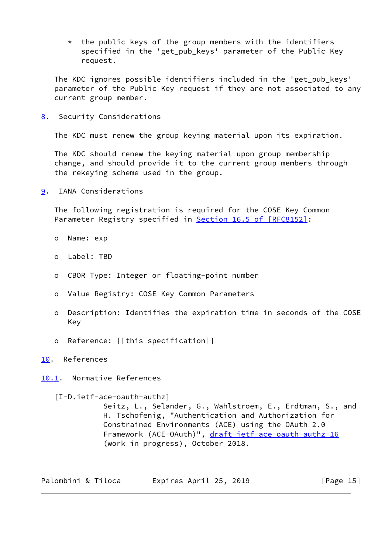$*$  the public keys of the group members with the identifiers specified in the 'get\_pub\_keys' parameter of the Public Key request.

 The KDC ignores possible identifiers included in the 'get\_pub\_keys' parameter of the Public Key request if they are not associated to any current group member.

<span id="page-16-0"></span>[8](#page-16-0). Security Considerations

The KDC must renew the group keying material upon its expiration.

 The KDC should renew the keying material upon group membership change, and should provide it to the current group members through the rekeying scheme used in the group.

<span id="page-16-1"></span>[9](#page-16-1). IANA Considerations

 The following registration is required for the COSE Key Common Parameter Registry specified in Section [16.5 of \[RFC8152\]](https://datatracker.ietf.org/doc/pdf/rfc8152#section-16.5):

- o Name: exp
- o Label: TBD
- o CBOR Type: Integer or floating-point number
- o Value Registry: COSE Key Common Parameters
- o Description: Identifies the expiration time in seconds of the COSE Key
- o Reference: [[this specification]]
- <span id="page-16-2"></span>[10.](#page-16-2) References

<span id="page-16-3"></span>[10.1](#page-16-3). Normative References

<span id="page-16-4"></span>[I-D.ietf-ace-oauth-authz]

 Seitz, L., Selander, G., Wahlstroem, E., Erdtman, S., and H. Tschofenig, "Authentication and Authorization for Constrained Environments (ACE) using the OAuth 2.0 Framework (ACE-OAuth)", [draft-ietf-ace-oauth-authz-16](https://datatracker.ietf.org/doc/pdf/draft-ietf-ace-oauth-authz-16) (work in progress), October 2018.

| Palombini & Tiloca | Expires April 25, 2019 | [Page 15] |
|--------------------|------------------------|-----------|
|--------------------|------------------------|-----------|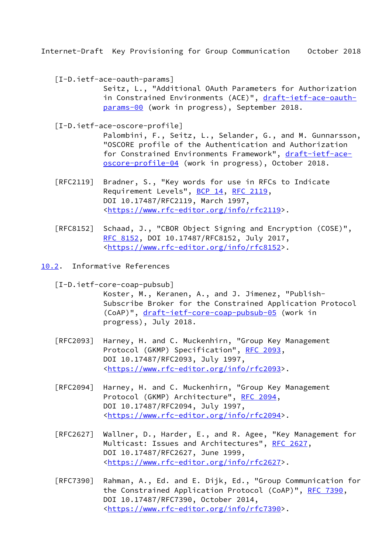<span id="page-17-3"></span><span id="page-17-1"></span>[I-D.ietf-ace-oauth-params]

 Seitz, L., "Additional OAuth Parameters for Authorization in Constrained Environments (ACE)", [draft-ietf-ace-oauth](https://datatracker.ietf.org/doc/pdf/draft-ietf-ace-oauth-params-00) [params-00](https://datatracker.ietf.org/doc/pdf/draft-ietf-ace-oauth-params-00) (work in progress), September 2018.

<span id="page-17-4"></span>[I-D.ietf-ace-oscore-profile]

 Palombini, F., Seitz, L., Selander, G., and M. Gunnarsson, "OSCORE profile of the Authentication and Authorization for Constrained Environments Framework", [draft-ietf-ace](https://datatracker.ietf.org/doc/pdf/draft-ietf-ace-oscore-profile-04) [oscore-profile-04](https://datatracker.ietf.org/doc/pdf/draft-ietf-ace-oscore-profile-04) (work in progress), October 2018.

- [RFC2119] Bradner, S., "Key words for use in RFCs to Indicate Requirement Levels", [BCP 14](https://datatracker.ietf.org/doc/pdf/bcp14), [RFC 2119](https://datatracker.ietf.org/doc/pdf/rfc2119), DOI 10.17487/RFC2119, March 1997, <[https://www.rfc-editor.org/info/rfc2119>](https://www.rfc-editor.org/info/rfc2119).
- [RFC8152] Schaad, J., "CBOR Object Signing and Encryption (COSE)", [RFC 8152,](https://datatracker.ietf.org/doc/pdf/rfc8152) DOI 10.17487/RFC8152, July 2017, <[https://www.rfc-editor.org/info/rfc8152>](https://www.rfc-editor.org/info/rfc8152).
- <span id="page-17-0"></span>[10.2](#page-17-0). Informative References

<span id="page-17-2"></span>[I-D.ietf-core-coap-pubsub]

 Koster, M., Keranen, A., and J. Jimenez, "Publish- Subscribe Broker for the Constrained Application Protocol (CoAP)", [draft-ietf-core-coap-pubsub-05](https://datatracker.ietf.org/doc/pdf/draft-ietf-core-coap-pubsub-05) (work in progress), July 2018.

- [RFC2093] Harney, H. and C. Muckenhirn, "Group Key Management Protocol (GKMP) Specification", [RFC 2093,](https://datatracker.ietf.org/doc/pdf/rfc2093) DOI 10.17487/RFC2093, July 1997, <[https://www.rfc-editor.org/info/rfc2093>](https://www.rfc-editor.org/info/rfc2093).
- [RFC2094] Harney, H. and C. Muckenhirn, "Group Key Management Protocol (GKMP) Architecture", [RFC 2094](https://datatracker.ietf.org/doc/pdf/rfc2094), DOI 10.17487/RFC2094, July 1997, <[https://www.rfc-editor.org/info/rfc2094>](https://www.rfc-editor.org/info/rfc2094).
- [RFC2627] Wallner, D., Harder, E., and R. Agee, "Key Management for Multicast: Issues and Architectures", [RFC 2627](https://datatracker.ietf.org/doc/pdf/rfc2627), DOI 10.17487/RFC2627, June 1999, <[https://www.rfc-editor.org/info/rfc2627>](https://www.rfc-editor.org/info/rfc2627).
- [RFC7390] Rahman, A., Ed. and E. Dijk, Ed., "Group Communication for the Constrained Application Protocol (CoAP)", [RFC 7390](https://datatracker.ietf.org/doc/pdf/rfc7390), DOI 10.17487/RFC7390, October 2014, <[https://www.rfc-editor.org/info/rfc7390>](https://www.rfc-editor.org/info/rfc7390).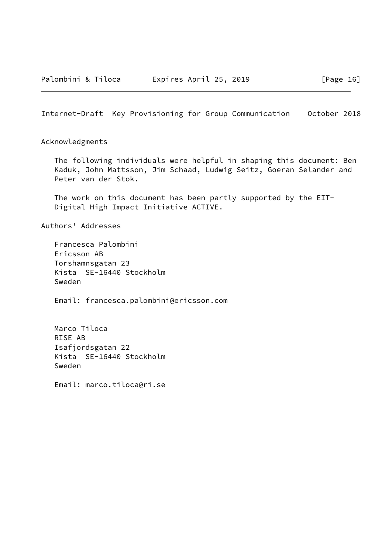<span id="page-18-0"></span>Acknowledgments

 The following individuals were helpful in shaping this document: Ben Kaduk, John Mattsson, Jim Schaad, Ludwig Seitz, Goeran Selander and Peter van der Stok.

 The work on this document has been partly supported by the EIT- Digital High Impact Initiative ACTIVE.

Authors' Addresses

 Francesca Palombini Ericsson AB Torshamnsgatan 23 Kista SE-16440 Stockholm Sweden

Email: francesca.palombini@ericsson.com

 Marco Tiloca RISE AB Isafjordsgatan 22 Kista SE-16440 Stockholm Sweden

Email: marco.tiloca@ri.se